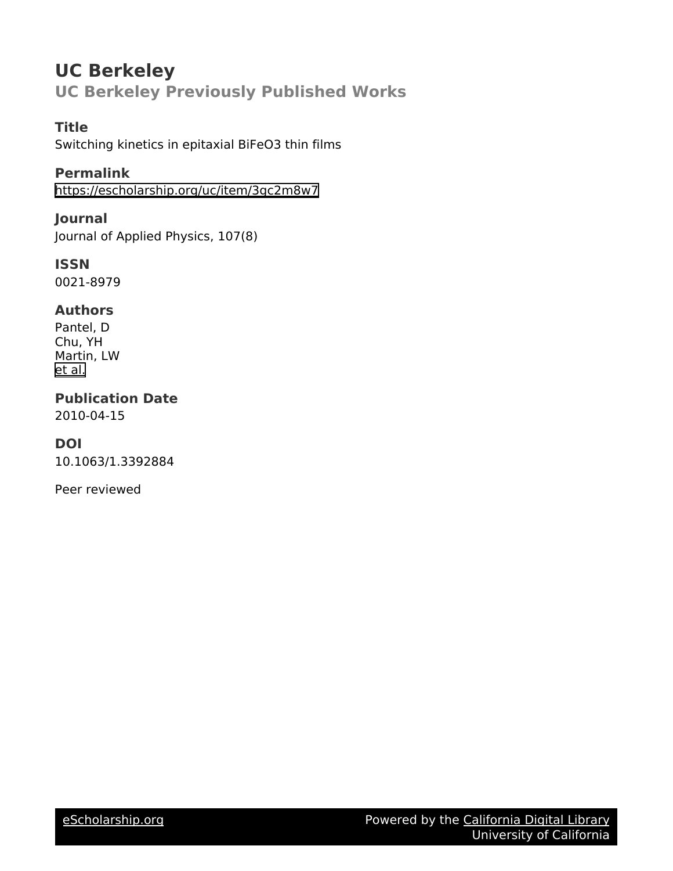# **UC Berkeley UC Berkeley Previously Published Works**

# **Title**

Switching kinetics in epitaxial BiFeO3 thin films

# **Permalink**

<https://escholarship.org/uc/item/3gc2m8w7>

# **Journal**

Journal of Applied Physics, 107(8)

### **ISSN** 0021-8979

# **Authors**

Pantel, D Chu, YH Martin, LW [et al.](https://escholarship.org/uc/item/3gc2m8w7#author)

### **Publication Date** 2010-04-15

# **DOI**

10.1063/1.3392884

Peer reviewed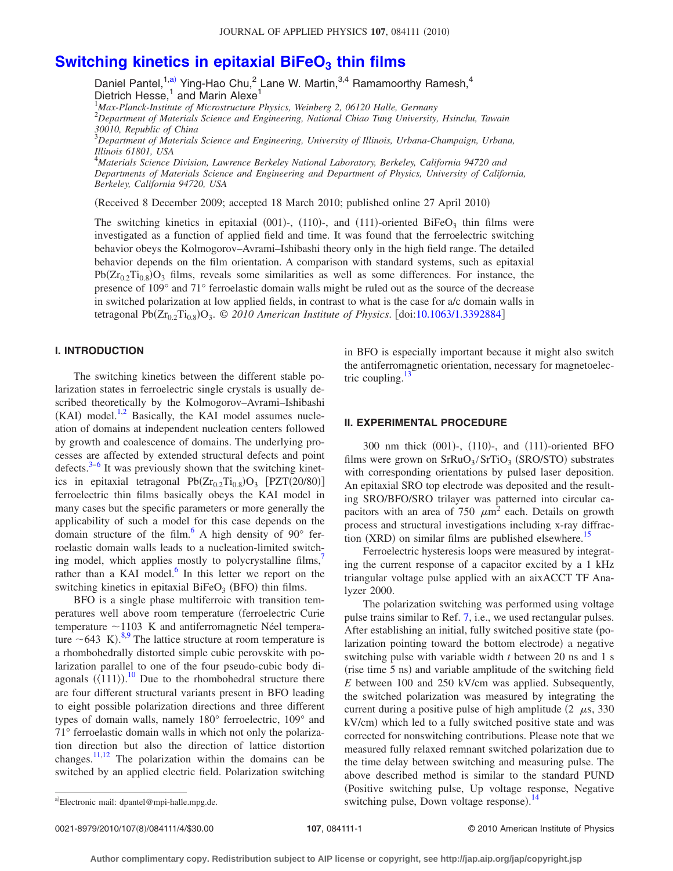# **Switching kinetics in epitaxial BiFeO<sub>3</sub> thin films**

Daniel Pantel,<sup>1,a)</sup> Ying-Hao Chu,<sup>2</sup> Lane W. Martin,<sup>3,4</sup> Ramamoorthy Ramesh,<sup>4</sup> Dietrich Hesse,<sup>1</sup> and Marin Alexe<sup>1</sup>

1 *Max-Planck-Institute of Microstructure Physics, Weinberg 2, 06120 Halle, Germany*

2 *Department of Materials Science and Engineering, National Chiao Tung University, Hsinchu, Tawain 30010, Republic of China*

3 *Department of Materials Science and Engineering, University of Illinois, Urbana-Champaign, Urbana, Illinois 61801, USA*

4 *Materials Science Division, Lawrence Berkeley National Laboratory, Berkeley, California 94720 and Departments of Materials Science and Engineering and Department of Physics, University of California, Berkeley, California 94720, USA*

(Received 8 December 2009; accepted 18 March 2010; published online 27 April 2010)

The switching kinetics in epitaxial (001)-, (110)-, and (111)-oriented BiFeO<sub>3</sub> thin films were investigated as a function of applied field and time. It was found that the ferroelectric switching behavior obeys the Kolmogorov–Avrami–Ishibashi theory only in the high field range. The detailed behavior depends on the film orientation. A comparison with standard systems, such as epitaxial  $Pb(Zr_{0.2}Ti_{0.8})O_3$  films, reveals some similarities as well as some differences. For instance, the presence of 109° and 71° ferroelastic domain walls might be ruled out as the source of the decrease in switched polarization at low applied fields, in contrast to what is the case for a/c domain walls in tetragonal Pb(Zr<sub>0.2</sub>Ti<sub>0.8</sub>)O<sub>3</sub>. © 2010 American Institute of Physics. [doi[:10.1063/1.3392884](http://dx.doi.org/10.1063/1.3392884)]

### **I. INTRODUCTION**

The switching kinetics between the different stable polarization states in ferroelectric single crystals is usually described theoretically by the Kolmogorov–Avrami–Ishibashi  $(KAI)$  model.<sup>1,[2](#page-4-1)</sup> Basically, the KAI model assumes nucleation of domains at independent nucleation centers followed by growth and coalescence of domains. The underlying processes are affected by extended structural defects and point defects. $3-6$  It was previously shown that the switching kinetics in epitaxial tetragonal  $Pb(Zr_{0.2}Ti_{0.8})O_3$   $[PZT(20/80)]$ ferroelectric thin films basically obeys the KAI model in many cases but the specific parameters or more generally the applicability of such a model for this case depends on the domain structure of the film. $^{6}$  A high density of 90 $^{\circ}$  ferroelastic domain walls leads to a nucleation-limited switching model, which applies mostly to polycrystalline films, rather than a KAI model. $6$  In this letter we report on the switching kinetics in epitaxial  $BiFeO<sub>3</sub>$  (BFO) thin films.

BFO is a single phase multiferroic with transition temperatures well above room temperature ferroelectric Curie temperature  $\sim$ 1103 K and antiferromagnetic Néel temperature  $\sim$  643 K).<sup>[8](#page-4-5)[,9](#page-4-6)</sup> The lattice structure at room temperature is a rhombohedrally distorted simple cubic perovskite with polarization parallel to one of the four pseudo-cubic body diagonals  $(\langle 111 \rangle)^{10}$  $(\langle 111 \rangle)^{10}$  $(\langle 111 \rangle)^{10}$  Due to the rhombohedral structure there are four different structural variants present in BFO leading to eight possible polarization directions and three different types of domain walls, namely 180° ferroelectric, 109° and 71° ferroelastic domain walls in which not only the polarization direction but also the direction of lattice distortion changes.<sup>11[,12](#page-4-9)</sup> The polarization within the domains can be switched by an applied electric field. Polarization switching in BFO is especially important because it might also switch the antiferromagnetic orientation, necessary for magnetoelectric coupling. $^{13}$ 

### **II. EXPERIMENTAL PROCEDURE**

300 nm thick (001)-, (110)-, and (111)-oriented BFO films were grown on  $SrRuO<sub>3</sub>/SrTiO<sub>3</sub>$  (SRO/STO) substrates with corresponding orientations by pulsed laser deposition. An epitaxial SRO top electrode was deposited and the resulting SRO/BFO/SRO trilayer was patterned into circular capacitors with an area of 750  $\mu$ m<sup>2</sup> each. Details on growth process and structural investigations including x-ray diffraction  $(XRD)$  on similar films are published elsewhere.<sup>15</sup>

Ferroelectric hysteresis loops were measured by integrating the current response of a capacitor excited by a 1 kHz triangular voltage pulse applied with an aixACCT TF Analyzer 2000.

The polarization switching was performed using voltage pulse trains similar to Ref. [7,](#page-4-4) i.e., we used rectangular pulses. After establishing an initial, fully switched positive state (polarization pointing toward the bottom electrode) a negative switching pulse with variable width *t* between 20 ns and 1 s (rise time 5 ns) and variable amplitude of the switching field *E* between 100 and 250 kV/cm was applied. Subsequently, the switched polarization was measured by integrating the current during a positive pulse of high amplitude  $(2 \mu s, 330)$ kV/cm) which led to a fully switched positive state and was corrected for nonswitching contributions. Please note that we measured fully relaxed remnant switched polarization due to the time delay between switching and measuring pulse. The above described method is similar to the standard PUND Positive switching pulse, Up voltage response, Negative a)Electronic mail: dpantel@mpi-halle.mpg.de. switching pulse, Down voltage response).<sup>[14](#page-4-12)</sup><br>switching pulse, Down voltage response).<sup>14</sup>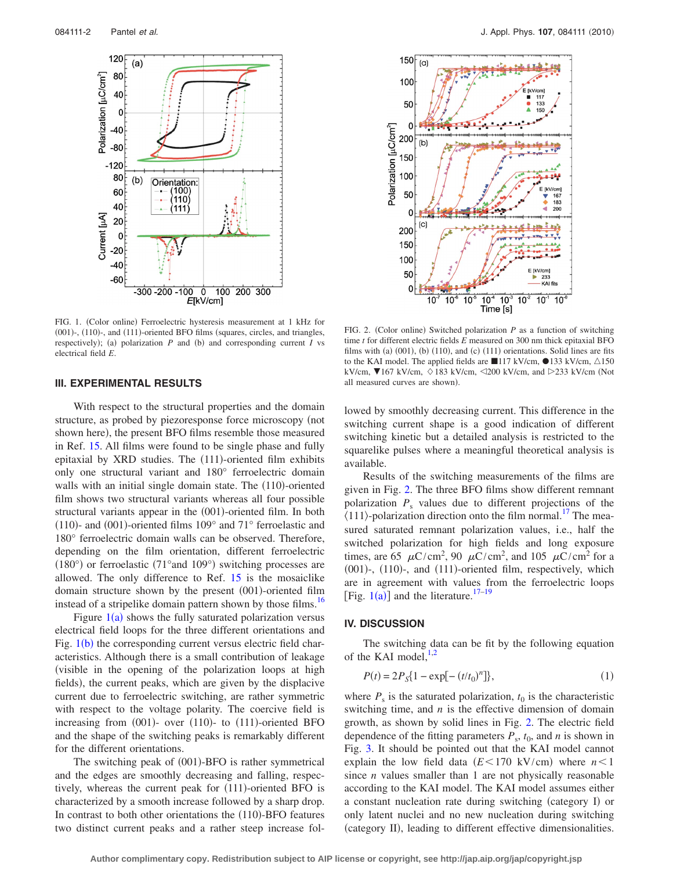<span id="page-2-0"></span>

FIG. 1. (Color online) Ferroelectric hysteresis measurement at 1 kHz for (001)-, (110)-, and (111)-oriented BFO films (squares, circles, and triangles, respectively); (a) polarization  $P$  and (b) and corresponding current  $I$  vs electrical field *E*.

#### **III. EXPERIMENTAL RESULTS**

With respect to the structural properties and the domain structure, as probed by piezoresponse force microscopy (not shown here), the present BFO films resemble those measured in Ref. [15.](#page-4-11) All films were found to be single phase and fully epitaxial by XRD studies. The (111)-oriented film exhibits only one structural variant and 180° ferroelectric domain walls with an initial single domain state. The (110)-oriented film shows two structural variants whereas all four possible structural variants appear in the (001)-oriented film. In both (110)- and (001)-oriented films  $109^\circ$  and  $71^\circ$  ferroelastic and 180° ferroelectric domain walls can be observed. Therefore, depending on the film orientation, different ferroelectric (180°) or ferroelastic (71°and 109°) switching processes are allowed. The only difference to Ref. [15](#page-4-11) is the mosaiclike domain structure shown by the present (001)-oriented film instead of a stripelike domain pattern shown by those films.<sup>16</sup>

Figure  $1(a)$  $1(a)$  shows the fully saturated polarization versus electrical field loops for the three different orientations and Fig. [1](#page-2-0)(b) the corresponding current versus electric field characteristics. Although there is a small contribution of leakage visible in the opening of the polarization loops at high fields), the current peaks, which are given by the displacive current due to ferroelectric switching, are rather symmetric with respect to the voltage polarity. The coercive field is increasing from (001)- over (110)- to (111)-oriented BFO and the shape of the switching peaks is remarkably different for the different orientations.

The switching peak of (001)-BFO is rather symmetrical and the edges are smoothly decreasing and falling, respectively, whereas the current peak for (111)-oriented BFO is characterized by a smooth increase followed by a sharp drop. In contrast to both other orientations the (110)-BFO features two distinct current peaks and a rather steep increase fol-

<span id="page-2-1"></span>

FIG. 2. (Color online) Switched polarization  $P$  as a function of switching time *t* for different electric fields *E* measured on 300 nm thick epitaxial BFO films with (a)  $(001)$ , (b)  $(110)$ , and  $(c)$   $(111)$  orientations. Solid lines are fits to the KAI model. The applied fields are 117 kV/cm,  $\triangle$ 133 kV/cm,  $\triangle$ 150 kV/cm,  $\blacktriangledown$ 167 kV/cm,  $\Diamond$  183 kV/cm,  $\triangle$ 200 kV/cm, and  $\triangleright$ 233 kV/cm (Not all measured curves are shown).

lowed by smoothly decreasing current. This difference in the switching current shape is a good indication of different switching kinetic but a detailed analysis is restricted to the squarelike pulses where a meaningful theoretical analysis is available.

Results of the switching measurements of the films are given in Fig. [2.](#page-2-1) The three BFO films show different remnant polarization  $P_s$  values due to different projections of the  $\langle 111 \rangle$ -polarization direction onto the film normal.<sup>17</sup> The measured saturated remnant polarization values, i.e., half the switched polarization for high fields and long exposure times, are 65  $\mu$ C/cm<sup>2</sup>, 90  $\mu$ C/cm<sup>2</sup>, and 105  $\mu$ C/cm<sup>2</sup> for a (001)-, (110)-, and (111)-oriented film, respectively, which are in agreement with values from the ferroelectric loops [Fig.  $1(a)$  $1(a)$ ] and the literature.<sup>17[–19](#page-4-15)</sup>

### **IV. DISCUSSION**

The switching data can be fit by the following equation of the KAI model, $^{1,2}$  $^{1,2}$  $^{1,2}$ 

$$
P(t) = 2PS{1 - \exp[-(t/t0)n]},
$$
\n(1)

where  $P_s$  is the saturated polarization,  $t_0$  is the characteristic switching time, and *n* is the effective dimension of domain growth, as shown by solid lines in Fig. [2.](#page-2-1) The electric field dependence of the fitting parameters  $P_s$ ,  $t_0$ , and *n* is shown in Fig. [3.](#page-3-0) It should be pointed out that the KAI model cannot explain the low field data  $(E<170 \text{ kV/cm})$  where  $n<1$ since *n* values smaller than 1 are not physically reasonable according to the KAI model. The KAI model assumes either a constant nucleation rate during switching (category I) or only latent nuclei and no new nucleation during switching (category II), leading to different effective dimensionalities.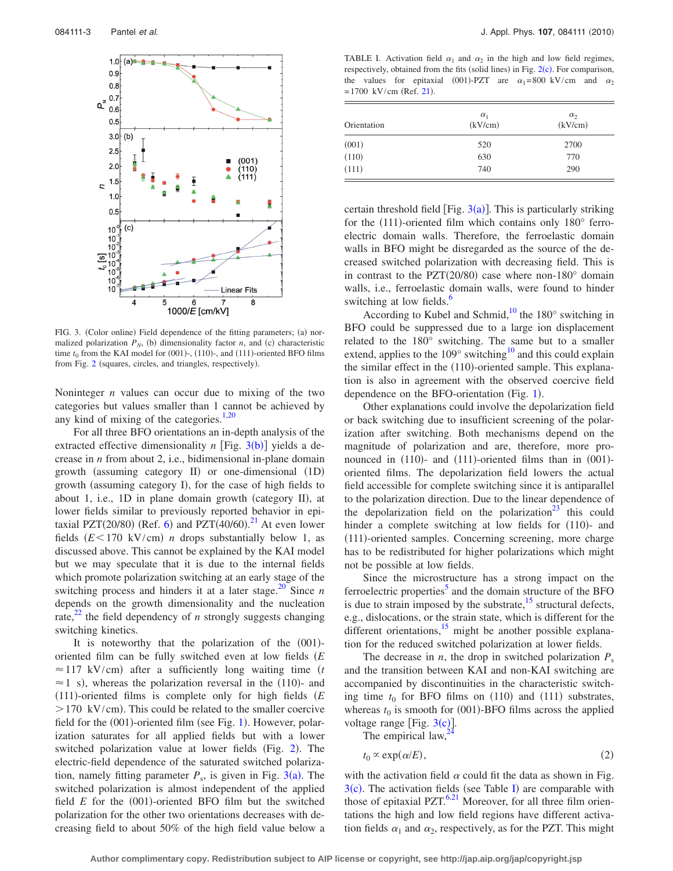<span id="page-3-0"></span>

FIG. 3. (Color online) Field dependence of the fitting parameters; (a) normalized polarization  $P_N$ , (b) dimensionality factor *n*, and (c) characteristic time  $t_0$  from the KAI model for  $(001)$ -,  $(110)$ -, and  $(111)$ -oriented BFO films from Fig. [2](#page-2-1) (squares, circles, and triangles, respectively).

Noninteger *n* values can occur due to mixing of the two categories but values smaller than 1 cannot be achieved by any kind of mixing of the categories. $1,20$  $1,20$ 

For all three BFO orientations an in-depth analysis of the extracted effective dimensionality  $n$  [Fig. [3](#page-3-0)(b)] yields a decrease in *n* from about 2, i.e., bidimensional in-plane domain growth (assuming category II) or one-dimensional (1D) growth (assuming category I), for the case of high fields to about 1, i.e., 1D in plane domain growth (category II), at lower fields similar to previously reported behavior in epi-taxial PZT(20/80) (Ref. [6](#page-4-3)) and PZT(40/60).<sup>[21](#page-4-17)</sup> At even lower fields  $(E<170 \text{ kV/cm})$  *n* drops substantially below 1, as discussed above. This cannot be explained by the KAI model but we may speculate that it is due to the internal fields which promote polarization switching at an early stage of the switching process and hinders it at a later stage.<sup>20</sup> Since *n* depends on the growth dimensionality and the nucleation rate,<sup>[22](#page-4-18)</sup> the field dependency of *n* strongly suggests changing switching kinetics.

It is noteworthy that the polarization of the (001)oriented film can be fully switched even at low fields *E*  $\approx$  117 kV/cm) after a sufficiently long waiting time (*t*  $\approx$  1 s), whereas the polarization reversal in the (110)- and 111--oriented films is complete only for high fields *E*  $>$  170 kV/cm). This could be related to the smaller coercive field for the (00[1](#page-2-0))-oriented film (see Fig. 1). However, polarization saturates for all applied fields but with a lower switched polarization value at lower fields (Fig. [2](#page-2-1)). The electric-field dependence of the saturated switched polarization, namely fitting parameter  $P_s$ , is given in Fig. [3](#page-3-0)(a). The switched polarization is almost independent of the applied field  $E$  for the  $(001)$ -oriented BFO film but the switched polarization for the other two orientations decreases with decreasing field to about 50% of the high field value below a

<span id="page-3-1"></span>TABLE I. Activation field  $\alpha_1$  and  $\alpha_2$  in the high and low field regimes, respectively, obtained from the fits (solid lines) in Fig. [2](#page-2-1)(c). For comparison, the values for epitaxial (001)-PZT are  $\alpha_1 = 800 \text{ kV/cm}$  and  $\alpha_2$  $= 1700$  kV/cm (Ref. [21](#page-4-17)).

| Orientation        | $\alpha_1$<br>(kV/cm) | $\alpha_2$<br>(kV/cm) |
|--------------------|-----------------------|-----------------------|
|                    | 520                   | 2700                  |
| $(001)$<br>$(110)$ | 630                   | 770                   |
| (111)              | 740                   | 290                   |

certain threshold field [Fig.  $3(a)$  $3(a)$ ]. This is particularly striking for the (111)-oriented film which contains only 180° ferroelectric domain walls. Therefore, the ferroelastic domain walls in BFO might be disregarded as the source of the decreased switched polarization with decreasing field. This is in contrast to the PZT(20/80) case where non-180 $^{\circ}$  domain walls, i.e., ferroelastic domain walls, were found to hinder switching at low fields.<sup>6</sup>

According to Kubel and Schmid,<sup>10</sup> the 180 $^{\circ}$  switching in BFO could be suppressed due to a large ion displacement related to the 180° switching. The same but to a smaller extend, applies to the  $109^\circ$  switching<sup>10</sup> and this could explain the similar effect in the (110)-oriented sample. This explanation is also in agreement with the observed coercive field dependence on the BFO-orientation (Fig. [1](#page-2-0)).

Other explanations could involve the depolarization field or back switching due to insufficient screening of the polarization after switching. Both mechanisms depend on the magnitude of polarization and are, therefore, more pronounced in (110)- and (111)-oriented films than in (001)oriented films. The depolarization field lowers the actual field accessible for complete switching since it is antiparallel to the polarization direction. Due to the linear dependence of the depolarization field on the polarization<sup>23</sup> this could hinder a complete switching at low fields for (110)- and (111)-oriented samples. Concerning screening, more charge has to be redistributed for higher polarizations which might not be possible at low fields.

Since the microstructure has a strong impact on the ferroelectric properties<sup>5</sup> and the domain structure of the BFO is due to strain imposed by the substrate, $15$  structural defects, e.g., dislocations, or the strain state, which is different for the different orientations,  $\frac{15}{2}$  might be another possible explanation for the reduced switched polarization at lower fields.

The decrease in *n*, the drop in switched polarization  $P_s$ and the transition between KAI and non-KAI switching are accompanied by discontinuities in the characteristic switching time  $t_0$  for BFO films on  $(110)$  and  $(111)$  substrates, whereas  $t_0$  is smooth for (001)-BFO films across the applied voltage range [Fig.  $3(c)$  $3(c)$ ].

The empirical law,

$$
t_0 \propto \exp(\alpha/E), \tag{2}
$$

with the activation field  $\alpha$  could fit the data as shown in Fig.  $3(c)$  $3(c)$ . The activation fields (see Table [I](#page-3-1)) are comparable with those of epitaxial  $PZT$ .<sup>6[,21](#page-4-17)</sup> Moreover, for all three film orientations the high and low field regions have different activation fields  $\alpha_1$  and  $\alpha_2$ , respectively, as for the PZT. This might